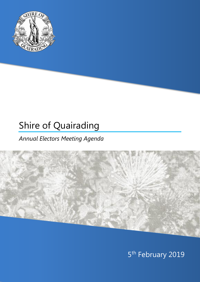

# Shire of Quairading

## *Annual Electors Meeting Agenda*



5<sup>th</sup> February 2019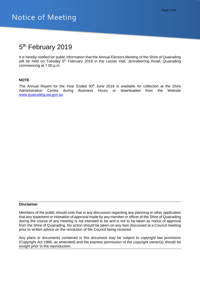### 5<sup>th</sup> February 2019

It is hereby notified for public information that the Annual Electors Meeting of the Shire of Quairading will be held on Tuesday 5<sup>th</sup> February 2019 in the Lesser Hall, Jennaberring Road, Quairading commencing at 7.00 p.m.

#### **NOTE**

The Annual Report for the Year Ended  $30<sup>th</sup>$  June 2018 is available for collection at the Shire Administration Centre during Business Hours or downloaded from the Website [www.quairading.wa.gov.au](http://www.quairading.wa.gov.au/)

#### **Disclaimer**

Members of the public should note that in any discussion regarding any planning or other application that any statement or intimation of approval made by any member or officer of the Shire of Quairading during the course of any meeting is not intended to be and is not to be taken as notice of approval from the Shire of Quairading. No action should be taken on any item discussed at a Council meeting prior to written advice on the resolution of the Council being received.

Any plans or documents contained in this document may be subject to copyright law provisions (Copyright Act 1968, as amended) and the express permission of the copyright owner(s) should be sought prior to the reproduction.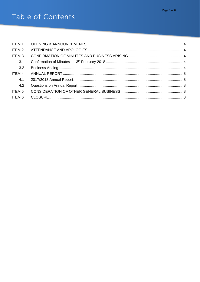# Table of Contents

| ITEM 1            |  |
|-------------------|--|
| ITEM <sub>2</sub> |  |
| ITEM <sub>3</sub> |  |
| 3.1               |  |
| 3.2               |  |
| ITEM <sub>4</sub> |  |
| 4.1               |  |
| 4.2               |  |
| ITEM 5            |  |
| ITEM 6            |  |
|                   |  |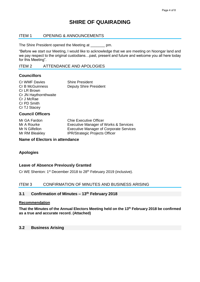### **SHIRE OF QUAIRADING**

#### <span id="page-3-0"></span>ITEM 1 OPENING & ANNOUNCEMENTS

The Shire President opened the Meeting at \_\_\_\_\_\_\_ pm.

"Before we start our Meeting, I would like to acknowledge that we are meeting on Noongar land and we pay respect to the original custodians…past, present and future and welcome you all here today for this Meeting".

#### <span id="page-3-1"></span>ITEM 2 ATTENDANCE AND APOLOGIES

#### **Councillors**

| Cr WMF Davies          | <b>Shire President</b>        |
|------------------------|-------------------------------|
| <b>Cr B McGuinness</b> | <b>Deputy Shire President</b> |
| Cr LR Brown            |                               |
| Cr JN Haythornthwaite  |                               |
| Cr J McRae             |                               |
| Cr PD Smith            |                               |
| Cr TJ Stacey           |                               |
|                        |                               |

#### **Council Officers**

Mr GA Fardon Chie Executive Officer Mr A Rourke Executive Manager of Works & Services Mr N Gilfellon Executive Manager of Corporate Services Mr RM Bleakley **IPR/Strategic Projects Officer** 

**Name of Electors in attendance**

#### **Apologies**

#### **Leave of Absence Previously Granted**

Cr WE Shenton: 1<sup>st</sup> December 2018 to 28<sup>th</sup> February 2019 (inclusive).

#### <span id="page-3-2"></span>ITEM 3 CONFIRMATION OF MINUTES AND BUSINESS ARISING

#### <span id="page-3-3"></span>**3.1 Confirmation of Minutes – 13th February 2018**

#### **Recommendation**

**That the Minutes of the Annual Electors Meeting held on the 13th February 2018 be confirmed as a true and accurate record. (Attached)**

#### <span id="page-3-4"></span>**3.2 Business Arising**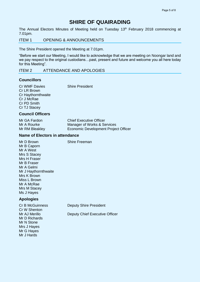### **SHIRE OF QUAIRADING**

The Annual Electors Minutes of Meeting held on Tuesday 13<sup>th</sup> February 2018 commencing at 7.01pm.

ITEM 1 OPENING & ANNOUNCEMENTS

The Shire President opened the Meeting at 7.01pm.

"Before we start our Meeting, I would like to acknowledge that we are meeting on Noongar land and we pay respect to the original custodians…past, present and future and welcome you all here today for this Meeting".

ITEM 2 ATTENDANCE AND APOLOGIES

#### **Councillors**

Cr WMF Davies Shire President Cr LR Brown Cr Haythornthwaite Cr J McRae Cr PD Smith

#### Cr TJ Stacey **Council Officers**

| Mr GA Fardon   | <b>Chief Executive Officer</b>       |
|----------------|--------------------------------------|
| Mr A Rourke    | Manager of Works & Services          |
| Mr RM Bleakley | Economic Development Project Officer |

#### **Name of Electors in attendance**

Mr D Brown Shire Freeman Mr B Caporn Mr A West Mrs S Stacey Mrs H Fraser Mr B Fraser Mr A Gelmi Mr J Haythornthwaite Mrs K Brown Miss L Brown Mr A McRae Mrs M Stacey Ms J Hayes

#### **Apologies**

Cr B McGuinness Deputy Shire President Cr W Shenton Mr AJ Merillo **Deputy Chief Executive Officer** Mr D Richards Mr N Stone Mrs J Hayes Mr G Hayes Mr J Hards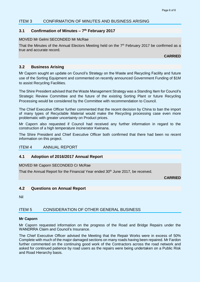#### ITEM 3 CONFIRMATION OF MINUTES AND BUSINESS ARISING

#### **3.1 Confirmation of Minutes – 7 th February 2017**

#### MOVED Mr Gelmi SECONDED Mr McRae

That the Minutes of the Annual Electors Meeting held on the 7<sup>th</sup> February 2017 be confirmed as a true and accurate record.

**CARRIED**

#### **3.2 Business Arising**

Mr Caporn sought an update on Council's Strategy on the Waste and Recycling Facility and future use of the Sorting Equipment and commented on recently announced Government Funding of \$1M to assist Recycling Facilities.

The Shire President advised that the Waste Management Strategy was a Standing Item for Council's Strategic Review Committee and the future of the existing Sorting Plant or future Recycling Processing would be considered by the Committee with recommendation to Council.

The Chief Executive Officer further commented that the recent decision by China to ban the import of many types of Recyclable Material would make the Recycling processing case even more problematic with greater uncertainty on Product prices.

Mr Caporn also requested if Council had received any further information in regard to the construction of a high temperature incinerator Kwinana.

The Shire President and Chief Executive Officer both confirmed that there had been no recent information on this project.

#### ITEM 4 ANNUAL REPORT

#### **4.1 Adoption of 2016/2017 Annual Report**

MOVED Mr Caporn SECONDED Cr McRae

That the Annual Report for the Financial Year ended 30<sup>th</sup> June 2017, be received.

**CARRIED**

#### **4.2 Questions on Annual Report**

Nil

#### ITEM 5 CONSIDERATION OF OTHER GENERAL BUSINESS

#### **Mr Caporn**

Mr Caporn requested information on the progress of the Road and Bridge Repairs under the WANDRRA Claim and Council's Insurance.

The Chief Executive Officer advised the Meeting that the Repair Works were in excess of 50% Complete with much of the major damaged sections on many roads having been repaired. Mr Fardon further commented on the continuing good work of the Contractors across the road network and asked for continued patience by road users as the repairs were being undertaken on a Public Risk and Road Hierarchy basis.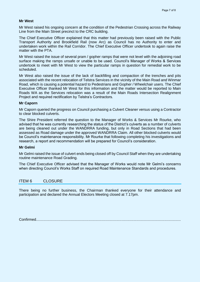#### **Mr West**

Mr West raised his ongoing concern at the condition of the Pedestrian Crossing across the Railway Line from the Main Street precinct to the CRC building.

The Chief Executive Officer explained that this matter had previously been raised with the Public Transport Authority and Brookfield Rail (now Arc) as Council has no Authority to enter and undertaken work within the Rail Corridor. The Chief Executive Officer undertook to again raise the matter with the PTA.

Mr West raised the issue of several pram / gopher ramps that were not level with the adjoining road surface making the ramps unsafe or unable to be used. Council's Manager of Works & Services undertook to meet with Mr West to view the particular ramps in question for remedial work to be scheduled.

Mr West also raised the issue of the lack of backfilling and compaction of the trenches and pits associated with the recent relocation of Telstra Services in the vicinity of the Main Road and Winmar Road, which is causing a potential hazard to Pedestrians and Gopher / Wheelchair users. The Chief Executive Officer thanked Mr West for this information and the matter would be reported to Main Roads WA as the Services relocation was a result of the Main Roads Intersection Realignment Project and required rectification by Telstra's Contractors.

#### **Mr Caporn**

Mr Caporn queried the progress on Council purchasing a Culvert Cleaner versus using a Contractor to clear blocked culverts.

The Shire President referred the question to the Manager of Works & Services Mr Rourke, who advised that he was currently researching the status of the District's culverts as a number of culverts are being cleaned out under the WANDRRA funding, but only in Road Sections that had been assessed as Road damage under the approved WANDRRA Claim. All other blocked culverts would be Council's maintenance responsibility. Mr Rourke that following completing his investigations and research, a report and recommendation will be prepared for Council's consideration.

#### **Mr Gelmi**

Mr Gelmi raised the issue of culvert ends being closed off by Council Staff when they are undertaking routine maintenance Road Grading.

The Chief Executive Officer advised that the Manager of Works would note Mr Gelmi's concerns when directing Council's Works Staff on required Road Maintenance Standards and procedures.

#### ITEM 6 CLOSURE

There being no further business, the Chairman thanked everyone for their attendance and participation and declared the Annual Electors Meeting closed at 7.17pm.

Confirmed.............................................................................................................................................